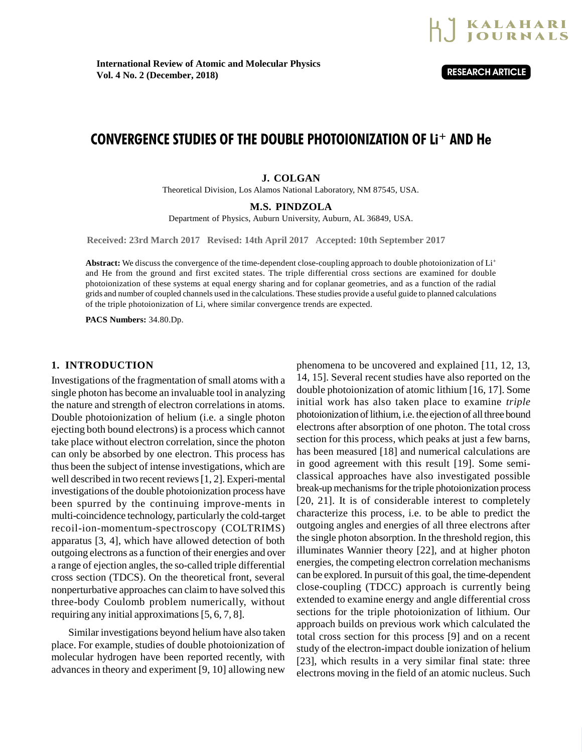

# CONVERGENCE STUDIES OF THE DOUBLE PHOTOIONIZATION OF Li <sup>+</sup> AND He

### **J. COLGAN**

Theoretical Division, Los Alamos National Laboratory, NM 87545, USA.

#### **M.S. PINDZOLA**

Department of Physics, Auburn University, Auburn, AL 36849, USA.

**Received: 23rd March 2017 Revised: 14th April 2017 Accepted: 10th September 2017**

**Abstract:** We discuss the convergence of the time-dependent close-coupling approach to double photoionization of Li<sup>+</sup> and He from the ground and first excited states. The triple differential cross sections are examined for double photoionization of these systems at equal energy sharing and for coplanar geometries, and as a function of the radial grids and number of coupled channels used in the calculations. These studies provide a useful guide to planned calculations of the triple photoionization of Li, where similar convergence trends are expected.

**PACS Numbers:** 34.80.Dp.

## **1. INTRODUCTION**

Investigations of the fragmentation of small atoms with a single photon has become an invaluable tool in analyzing the nature and strength of electron correlations in atoms. Double photoionization of helium (i.e. a single photon ejecting both bound electrons) is a process which cannot take place without electron correlation, since the photon can only be absorbed by one electron. This process has thus been the subject of intense investigations, which are well described in two recent reviews [1, 2]. Experi-mental investigations of the double photoionization process have been spurred by the continuing improve-ments in multi-coincidence technology, particularly the cold-target recoil-ion-momentum-spectroscopy (COLTRIMS) apparatus [3, 4], which have allowed detection of both outgoing electrons as a function of their energies and over a range of ejection angles, the so-called triple differential cross section (TDCS). On the theoretical front, several nonperturbative approaches can claim to have solved this three-body Coulomb problem numerically, without requiring any initial approximations [5, 6, 7, 8].

Similar investigations beyond helium have also taken place. For example, studies of double photoionization of molecular hydrogen have been reported recently, with advances in theory and experiment [9, 10] allowing new

phenomena to be uncovered and explained [11, 12, 13, 14, 15]. Several recent studies have also reported on the double photoionization of atomic lithium [16, 17]. Some initial work has also taken place to examine *triple* photoionization of lithium, i.e. the ejection of all three bound electrons after absorption of one photon. The total cross section for this process, which peaks at just a few barns, has been measured [18] and numerical calculations are in good agreement with this result [19]. Some semiclassical approaches have also investigated possible break-up mechanisms for the triple photoionization process [20, 21]. It is of considerable interest to completely characterize this process, i.e. to be able to predict the outgoing angles and energies of all three electrons after the single photon absorption. In the threshold region, this illuminates Wannier theory [22], and at higher photon energies, the competing electron correlation mechanisms can be explored. In pursuit of this goal, the time-dependent close-coupling (TDCC) approach is currently being extended to examine energy and angle differential cross sections for the triple photoionization of lithium. Our approach builds on previous work which calculated the total cross section for this process [9] and on a recent study of the electron-impact double ionization of helium [23], which results in a very similar final state: three electrons moving in the field of an atomic nucleus. Such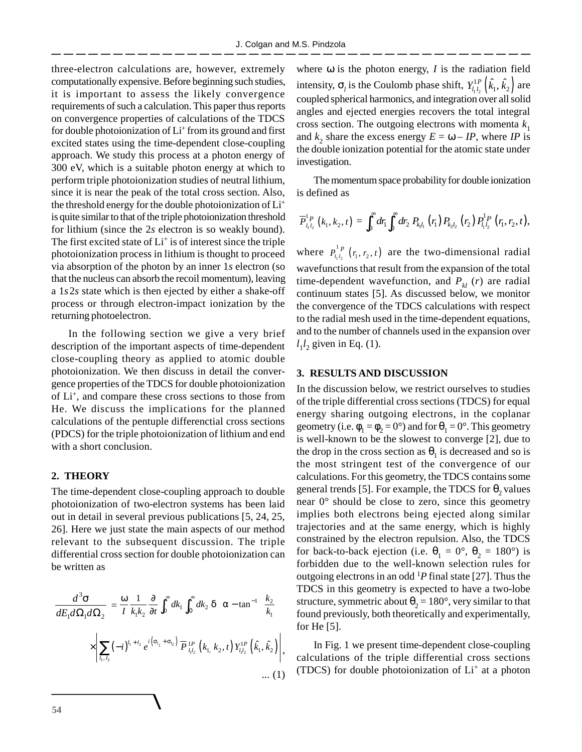three-electron calculations are, however, extremely computationally expensive. Before beginning such studies, it is important to assess the likely convergence requirements of such a calculation. This paper thus reports on convergence properties of calculations of the TDCS for double photoionization of Li<sup>+</sup> from its ground and first excited states using the time-dependent close-coupling approach. We study this process at a photon energy of 300 eV, which is a suitable photon energy at which to perform triple photoionization studies of neutral lithium, since it is near the peak of the total cross section. Also, the threshold energy for the double photoionization of Li<sup>+</sup> is quite similar to that of the triple photoionization threshold for lithium (since the 2*s* electron is so weakly bound). The first excited state of Li<sup>+</sup> is of interest since the triple photoionization process in lithium is thought to proceed via absorption of the photon by an inner 1*s* electron (so that the nucleus can absorb the recoil momentum), leaving a 1*s*2*s* state which is then ejected by either a shake-off process or through electron-impact ionization by the returning photoelectron.

In the following section we give a very brief description of the important aspects of time-dependent close-coupling theory as applied to atomic double photoionization. We then discuss in detail the convergence properties of the TDCS for double photoionization of Li<sup>+</sup> , and compare these cross sections to those from He. We discuss the implications for the planned calculations of the pentuple differenctial cross sections (PDCS) for the triple photoionization of lithium and end with a short conclusion.

### **2. THEORY**

The time-dependent close-coupling approach to double photoionization of two-electron systems has been laid out in detail in several previous publications [5, 24, 25, 26]. Here we just state the main aspects of our method relevant to the subsequent discussion. The triple differential cross section for double photoionization can be written as

$$
\frac{d^3 \sigma}{dE_1 d\Omega_1 d\Omega_2} = \frac{\omega}{I} \frac{1}{k_1 k_2} \frac{\partial}{\partial t} \int_0^\infty dk_1 \int_0^\infty dk_2 \, \delta\left(\alpha - \tan^{-1}\left(\frac{k_2}{k_1}\right)\right)
$$

$$
\times \left| \sum_{l_1, l_2} (-i)^{l_1 + l_2} e^{i \left(\sigma_{l_1} + \sigma_{l_2}\right)} \overline{P}_{l_1 l_2}^{1 P} \left(k_1, k_2, t\right) Y_{l_1 l_2}^{1 P} \left(\hat{k}_1, \hat{k}_2\right) \right|,
$$

$$
\dots (1)
$$

where  $\omega$  is the photon energy, *I* is the radiation field intensity,  $\sigma_{_l}$  is the Coulomb phase shift,  $Y_{l_1l_2}^{1P} \left( \hat{k}_1, \hat{k}_2 \right)$  are coupled spherical harmonics, and integration over all solid angles and ejected energies recovers the total integral cross section. The outgoing electrons with momenta  $k_1$ and  $k_2$  share the excess energy  $E = \omega - IP$ , where *IP* is the double ionization potential for the atomic state under investigation.

The momentum space probability for double ionization is defined as

$$
\overline{P}_{l_1l_2}^{1\,P}(k_1,k_2,t)=\int_0^\infty dr_1\!\int_0^\infty dr_2\ P_{k_1l_1}\left(r_1\right)P_{k_2l_2}\left(r_2\right)P_{l_1l_2}^{1\,P}\left(r_1,r_2,t\right),
$$

where  $P_{l_1 l_2}^{P} (r_1, r_2, t)$  $P_{l_1l_2}^{1,p}$  ( $r_1, r_2, t$ ) are the two-dimensional radial wavefunctions that result from the expansion of the total time-dependent wavefunction, and  $P_{kl}$  (*r*) are radial continuum states [5]. As discussed below, we monitor the convergence of the TDCS calculations with respect to the radial mesh used in the time-dependent equations, and to the number of channels used in the expansion over  $l_1 l_2$  given in Eq. (1).

## **3. RESULTS AND DISCUSSION**

In the discussion below, we restrict ourselves to studies of the triple differential cross sections (TDCS) for equal energy sharing outgoing electrons, in the coplanar geometry (i.e.  $\phi_1 = \phi_2 = 0^\circ$ ) and for  $\theta_1 = 0^\circ$ . This geometry is well-known to be the slowest to converge [2], due to the drop in the cross section as  $\theta_1$  is decreased and so is the most stringent test of the convergence of our calculations. For this geometry, the TDCS contains some general trends [5]. For example, the TDCS for  $\theta_2$  values near 0° should be close to zero, since this geometry implies both electrons being ejected along similar trajectories and at the same energy, which is highly constrained by the electron repulsion. Also, the TDCS for back-to-back ejection (i.e.  $\theta_1 = 0^\circ$ ,  $\theta_2 = 180^\circ$ ) is forbidden due to the well-known selection rules for outgoing electrons in an odd <sup>1</sup>*P* final state [27]. Thus the TDCS in this geometry is expected to have a two-lobe structure, symmetric about  $\theta_2 = 180^\circ$ , very similar to that found previously, both theoretically and experimentally, for He [5].

In Fig. 1 we present time-dependent close-coupling calculations of the triple differential cross sections (TDCS) for double photoionization of Li<sup>+</sup> at a photon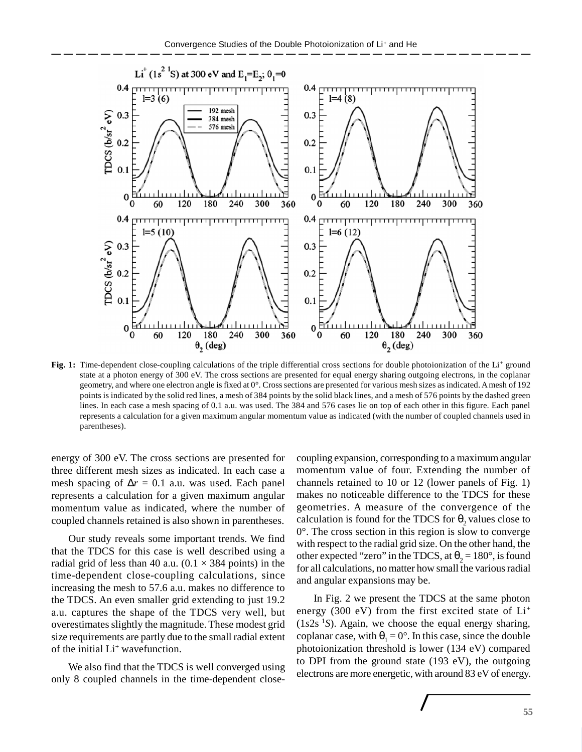

Fig. 1: Time-dependent close-coupling calculations of the triple differential cross sections for double photoionization of the Li+ ground state at a photon energy of 300 eV. The cross sections are presented for equal energy sharing outgoing electrons, in the coplanar geometry, and where one electron angle is fixed at 0°. Cross sections are presented for various mesh sizes as indicated. A mesh of 192 points is indicated by the solid red lines, a mesh of 384 points by the solid black lines, and a mesh of 576 points by the dashed green lines. In each case a mesh spacing of 0.1 a.u. was used. The 384 and 576 cases lie on top of each other in this figure. Each panel represents a calculation for a given maximum angular momentum value as indicated (with the number of coupled channels used in parentheses).

energy of 300 eV. The cross sections are presented for three different mesh sizes as indicated. In each case a mesh spacing of  $\Delta r = 0.1$  a.u. was used. Each panel represents a calculation for a given maximum angular momentum value as indicated, where the number of coupled channels retained is also shown in parentheses.

Our study reveals some important trends. We find that the TDCS for this case is well described using a radial grid of less than 40 a.u.  $(0.1 \times 384$  points) in the time-dependent close-coupling calculations, since increasing the mesh to 57.6 a.u. makes no difference to the TDCS. An even smaller grid extending to just 19.2 a.u. captures the shape of the TDCS very well, but overestimates slightly the magnitude. These modest grid size requirements are partly due to the small radial extent of the initial Li<sup>+</sup> wavefunction.

We also find that the TDCS is well converged using only 8 coupled channels in the time-dependent closecoupling expansion, corresponding to a maximum angular momentum value of four. Extending the number of channels retained to 10 or 12 (lower panels of Fig. 1) makes no noticeable difference to the TDCS for these geometries. A measure of the convergence of the calculation is found for the TDCS for  $\theta_2$  values close to 0°. The cross section in this region is slow to converge with respect to the radial grid size. On the other hand, the other expected "zero" in the TDCS, at  $\theta_2 = 180^\circ$ , is found for all calculations, no matter how small the various radial and angular expansions may be.

In Fig. 2 we present the TDCS at the same photon energy (300 eV) from the first excited state of  $Li^+$  $(1s2s<sup>-1</sup>S)$ . Again, we choose the equal energy sharing, coplanar case, with  $\theta_1 = 0^\circ$ . In this case, since the double photoionization threshold is lower (134 eV) compared to DPI from the ground state (193 eV), the outgoing electrons are more energetic, with around 83 eV of energy.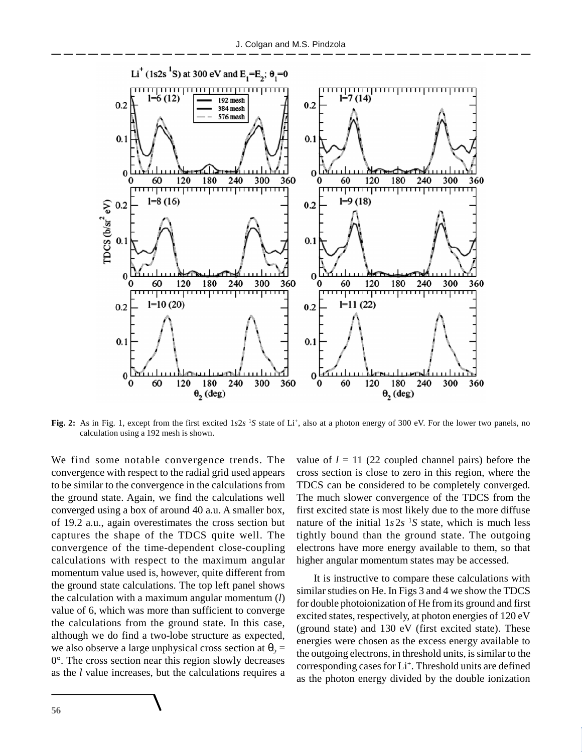

**Fig. 2:** As in Fig. 1, except from the first excited 1*s*2*s*<sup>-1</sup>*S* state of Li<sup>+</sup>, also at a photon energy of 300 eV. For the lower two panels, no calculation using a 192 mesh is shown.

We find some notable convergence trends. The convergence with respect to the radial grid used appears to be similar to the convergence in the calculations from the ground state. Again, we find the calculations well converged using a box of around 40 a.u. A smaller box, of 19.2 a.u., again overestimates the cross section but captures the shape of the TDCS quite well. The convergence of the time-dependent close-coupling calculations with respect to the maximum angular momentum value used is, however, quite different from the ground state calculations. The top left panel shows the calculation with a maximum angular momentum (*l*) value of 6, which was more than sufficient to converge the calculations from the ground state. In this case, although we do find a two-lobe structure as expected, we also observe a large unphysical cross section at  $\theta_2$  = 0°. The cross section near this region slowly decreases as the *l* value increases, but the calculations requires a

value of  $l = 11$  (22 coupled channel pairs) before the cross section is close to zero in this region, where the TDCS can be considered to be completely converged. The much slower convergence of the TDCS from the first excited state is most likely due to the more diffuse nature of the initial  $1s2s$ <sup>1</sup>S state, which is much less tightly bound than the ground state. The outgoing electrons have more energy available to them, so that higher angular momentum states may be accessed.

It is instructive to compare these calculations with similar studies on He. In Figs 3 and 4 we show the TDCS for double photoionization of He from its ground and first excited states, respectively, at photon energies of 120 eV (ground state) and 130 eV (first excited state). These energies were chosen as the excess energy available to the outgoing electrons, in threshold units, is similar to the corresponding cases for Li<sup>+</sup>. Threshold units are defined as the photon energy divided by the double ionization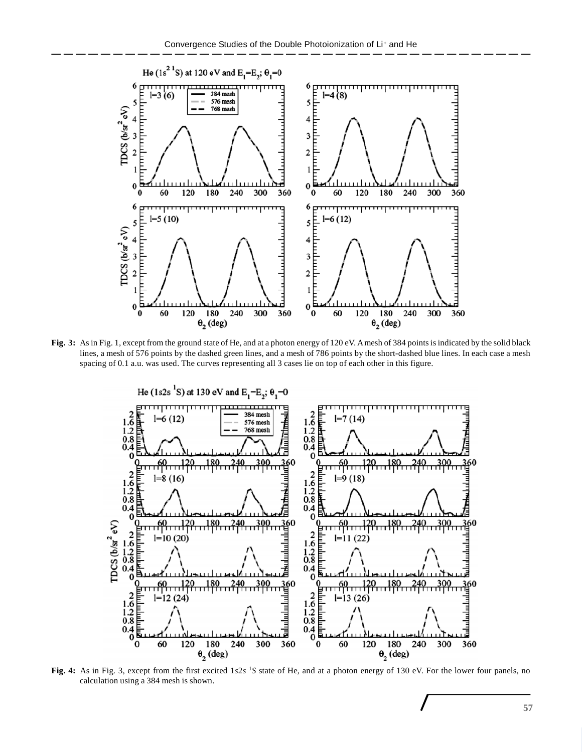

**Fig. 3:** As in Fig. 1, except from the ground state of He, and at a photon energy of 120 eV. A mesh of 384 points is indicated by the solid black lines, a mesh of 576 points by the dashed green lines, and a mesh of 786 points by the short-dashed blue lines. In each case a mesh spacing of 0.1 a.u. was used. The curves representing all 3 cases lie on top of each other in this figure.



**Fig. 4:** As in Fig. 3, except from the first excited 1*s*2*s*<sup>-1</sup>*S* state of He, and at a photon energy of 130 eV. For the lower four panels, no calculation using a 384 mesh is shown.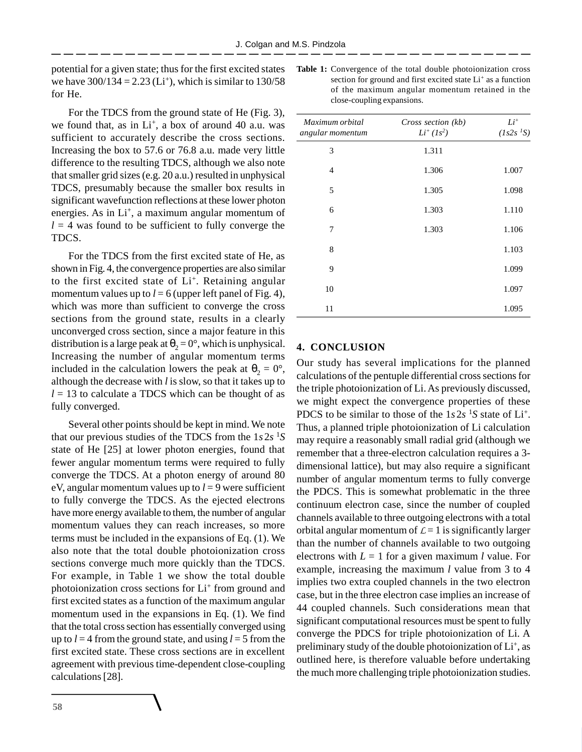potential for a given state; thus for the first excited states we have  $300/134 = 2.23$  (Li<sup>+</sup>), which is similar to  $130/58$ for He.

For the TDCS from the ground state of He (Fig. 3), we found that, as in  $Li^+$ , a box of around 40 a.u. was sufficient to accurately describe the cross sections. Increasing the box to 57.6 or 76.8 a.u. made very little difference to the resulting TDCS, although we also note that smaller grid sizes (e.g. 20 a.u.) resulted in unphysical TDCS, presumably because the smaller box results in significant wavefunction reflections at these lower photon energies. As in Li<sup>+</sup>, a maximum angular momentum of  $l = 4$  was found to be sufficient to fully converge the TDCS.

For the TDCS from the first excited state of He, as shown in Fig. 4, the convergence properties are also similar to the first excited state of Li<sup>+</sup>. Retaining angular momentum values up to  $l = 6$  (upper left panel of Fig. 4), which was more than sufficient to converge the cross sections from the ground state, results in a clearly unconverged cross section, since a major feature in this distribution is a large peak at  $\theta_2 = 0^\circ$ , which is unphysical. Increasing the number of angular momentum terms included in the calculation lowers the peak at  $\theta_2 = 0^{\circ}$ , although the decrease with *l* is slow, so that it takes up to  $l = 13$  to calculate a TDCS which can be thought of as fully converged.

Several other points should be kept in mind. We note that our previous studies of the TDCS from the 1*s*2*s* 1*S* state of He [25] at lower photon energies, found that fewer angular momentum terms were required to fully converge the TDCS. At a photon energy of around 80 eV, angular momentum values up to  $l = 9$  were sufficient to fully converge the TDCS. As the ejected electrons have more energy available to them, the number of angular momentum values they can reach increases, so more terms must be included in the expansions of Eq. (1). We also note that the total double photoionization cross sections converge much more quickly than the TDCS. For example, in Table 1 we show the total double photoionization cross sections for Li<sup>+</sup> from ground and first excited states as a function of the maximum angular momentum used in the expansions in Eq. (1). We find that the total cross section has essentially converged using up to  $l = 4$  from the ground state, and using  $l = 5$  from the first excited state. These cross sections are in excellent agreement with previous time-dependent close-coupling calculations [28].

**Table 1:** Convergence of the total double photoionization cross section for ground and first excited state Li<sup>+</sup> as a function of the maximum angular momentum retained in the close-coupling expansions.

| 1.311 |       |
|-------|-------|
| 1.306 | 1.007 |
| 1.305 | 1.098 |
| 1.303 | 1.110 |
| 1.303 | 1.106 |
|       | 1.103 |
|       | 1.099 |
|       | 1.097 |
|       | 1.095 |
|       |       |

# **4. CONCLUSION**

Our study has several implications for the planned calculations of the pentuple differential cross sections for the triple photoionization of Li. As previously discussed, we might expect the convergence properties of these PDCS to be similar to those of the  $1s2s$ <sup>1</sup>S state of Li<sup>+</sup>. Thus, a planned triple photoionization of Li calculation may require a reasonably small radial grid (although we remember that a three-electron calculation requires a 3 dimensional lattice), but may also require a significant number of angular momentum terms to fully converge the PDCS. This is somewhat problematic in the three continuum electron case, since the number of coupled channels available to three outgoing electrons with a total orbital angular momentum of  $\mathcal{L} = 1$  is significantly larger than the number of channels available to two outgoing electrons with  $L = 1$  for a given maximum *l* value. For example, increasing the maximum *l* value from 3 to 4 implies two extra coupled channels in the two electron case, but in the three electron case implies an increase of 44 coupled channels. Such considerations mean that significant computational resources must be spent to fully converge the PDCS for triple photoionization of Li. A preliminary study of the double photoionization of Li<sup>+</sup>, as outlined here, is therefore valuable before undertaking the much more challenging triple photoionization studies.